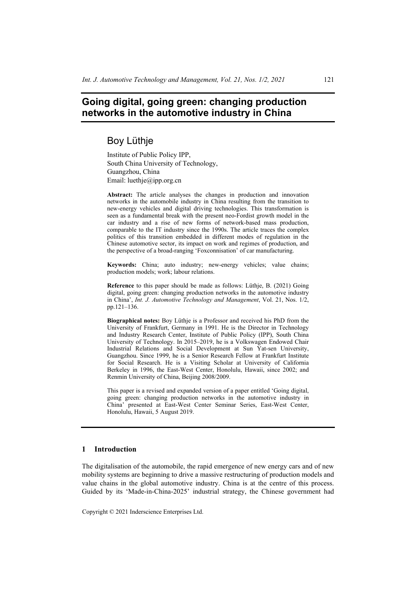# **Going digital, going green: changing production networks in the automotive industry in China**

# Boy Lüthje

Institute of Public Policy IPP, South China University of Technology, Guangzhou, China Email: luethje@ipp.org.cn

**Abstract:** The article analyses the changes in production and innovation networks in the automobile industry in China resulting from the transition to new-energy vehicles and digital driving technologies. This transformation is seen as a fundamental break with the present neo-Fordist growth model in the car industry and a rise of new forms of network-based mass production, comparable to the IT industry since the 1990s. The article traces the complex politics of this transition embedded in different modes of regulation in the Chinese automotive sector, its impact on work and regimes of production, and the perspective of a broad-ranging 'Foxconnisation' of car manufacturing.

**Keywords:** China; auto industry; new-energy vehicles; value chains; production models; work; labour relations.

**Reference** to this paper should be made as follows: Lüthje, B. (2021) Going digital, going green: changing production networks in the automotive industry in China', *Int. J. Automotive Technology and Management*, Vol. 21, Nos. 1/2, pp.121–136.

**Biographical notes:** Boy Lüthje is a Professor and received his PhD from the University of Frankfurt, Germany in 1991. He is the Director in Technology and Industry Research Center, Institute of Public Policy (IPP), South China University of Technology. In 2015–2019, he is a Volkswagen Endowed Chair Industrial Relations and Social Development at Sun Yat-sen University, Guangzhou. Since 1999, he is a Senior Research Fellow at Frankfurt Institute for Social Research. He is a Visiting Scholar at University of California Berkeley in 1996, the East-West Center, Honolulu, Hawaii, since 2002; and Renmin University of China, Beijing 2008/2009.

This paper is a revised and expanded version of a paper entitled 'Going digital, going green: changing production networks in the automotive industry in China' presented at East-West Center Seminar Series, East-West Center, Honolulu, Hawaii, 5 August 2019.

### **1 Introduction**

The digitalisation of the automobile, the rapid emergence of new energy cars and of new mobility systems are beginning to drive a massive restructuring of production models and value chains in the global automotive industry. China is at the centre of this process. Guided by its 'Made-in-China-2025' industrial strategy, the Chinese government had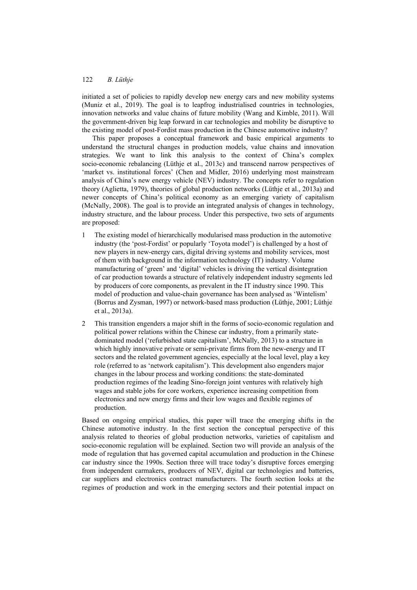initiated a set of policies to rapidly develop new energy cars and new mobility systems (Muniz et al., 2019). The goal is to leapfrog industrialised countries in technologies, innovation networks and value chains of future mobility (Wang and Kimble, 2011). Will the government-driven big leap forward in car technologies and mobility be disruptive to the existing model of post-Fordist mass production in the Chinese automotive industry?

This paper proposes a conceptual framework and basic empirical arguments to understand the structural changes in production models, value chains and innovation strategies. We want to link this analysis to the context of China's complex socio-economic rebalancing (Lüthje et al., 2013c) and transcend narrow perspectives of 'market vs. institutional forces' (Chen and Midler, 2016) underlying most mainstream analysis of China's new energy vehicle (NEV) industry. The concepts refer to regulation theory (Aglietta, 1979), theories of global production networks (Lüthje et al., 2013a) and newer concepts of China's political economy as an emerging variety of capitalism (McNally, 2008). The goal is to provide an integrated analysis of changes in technology, industry structure, and the labour process. Under this perspective, two sets of arguments are proposed:

- 1 The existing model of hierarchically modularised mass production in the automotive industry (the 'post-Fordist' or popularly 'Toyota model') is challenged by a host of new players in new-energy cars, digital driving systems and mobility services, most of them with background in the information technology (IT) industry. Volume manufacturing of 'green' and 'digital' vehicles is driving the vertical disintegration of car production towards a structure of relatively independent industry segments led by producers of core components, as prevalent in the IT industry since 1990. This model of production and value-chain governance has been analysed as 'Wintelism' (Borrus and Zysman, 1997) or network-based mass production (Lüthje, 2001; Lüthje et al., 2013a).
- 2 This transition engenders a major shift in the forms of socio-economic regulation and political power relations within the Chinese car industry, from a primarily statedominated model ('refurbished state capitalism', McNally, 2013) to a structure in which highly innovative private or semi-private firms from the new-energy and IT sectors and the related government agencies, especially at the local level, play a key role (referred to as 'network capitalism'). This development also engenders major changes in the labour process and working conditions: the state-dominated production regimes of the leading Sino-foreign joint ventures with relatively high wages and stable jobs for core workers, experience increasing competition from electronics and new energy firms and their low wages and flexible regimes of production.

Based on ongoing empirical studies, this paper will trace the emerging shifts in the Chinese automotive industry. In the first section the conceptual perspective of this analysis related to theories of global production networks, varieties of capitalism and socio-economic regulation will be explained. Section two will provide an analysis of the mode of regulation that has governed capital accumulation and production in the Chinese car industry since the 1990s. Section three will trace today's disruptive forces emerging from independent carmakers, producers of NEV, digital car technologies and batteries, car suppliers and electronics contract manufacturers. The fourth section looks at the regimes of production and work in the emerging sectors and their potential impact on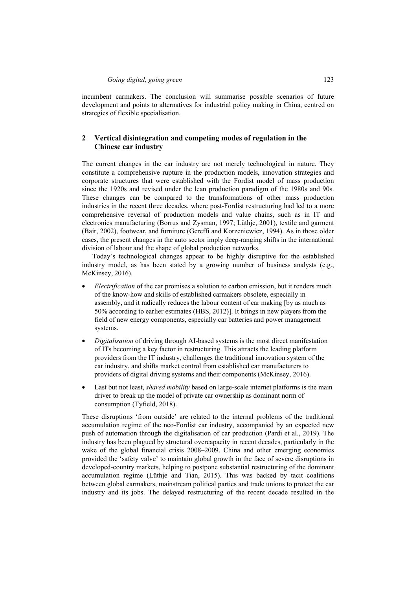incumbent carmakers. The conclusion will summarise possible scenarios of future development and points to alternatives for industrial policy making in China, centred on strategies of flexible specialisation.

## **2 Vertical disintegration and competing modes of regulation in the Chinese car industry**

The current changes in the car industry are not merely technological in nature. They constitute a comprehensive rupture in the production models, innovation strategies and corporate structures that were established with the Fordist model of mass production since the 1920s and revised under the lean production paradigm of the 1980s and 90s. These changes can be compared to the transformations of other mass production industries in the recent three decades, where post-Fordist restructuring had led to a more comprehensive reversal of production models and value chains, such as in IT and electronics manufacturing (Borrus and Zysman, 1997; Lüthje, 2001), textile and garment (Bair, 2002), footwear, and furniture (Gereffi and Korzeniewicz, 1994). As in those older cases, the present changes in the auto sector imply deep-ranging shifts in the international division of labour and the shape of global production networks.

Today's technological changes appear to be highly disruptive for the established industry model, as has been stated by a growing number of business analysts (e.g., McKinsey, 2016).

- *Electrification* of the car promises a solution to carbon emission, but it renders much of the know-how and skills of established carmakers obsolete, especially in assembly, and it radically reduces the labour content of car making [by as much as 50% according to earlier estimates (HBS, 2012)]. It brings in new players from the field of new energy components, especially car batteries and power management systems.
- *Digitalisation* of driving through AI-based systems is the most direct manifestation of ITs becoming a key factor in restructuring. This attracts the leading platform providers from the IT industry, challenges the traditional innovation system of the car industry, and shifts market control from established car manufacturers to providers of digital driving systems and their components (McKinsey, 2016).
- Last but not least, *shared mobility* based on large-scale internet platforms is the main driver to break up the model of private car ownership as dominant norm of consumption (Tyfield, 2018).

These disruptions 'from outside' are related to the internal problems of the traditional accumulation regime of the neo-Fordist car industry, accompanied by an expected new push of automation through the digitalisation of car production (Pardi et al., 2019). The industry has been plagued by structural overcapacity in recent decades, particularly in the wake of the global financial crisis 2008–2009. China and other emerging economies provided the 'safety valve' to maintain global growth in the face of severe disruptions in developed-country markets, helping to postpone substantial restructuring of the dominant accumulation regime (Lüthje and Tian, 2015). This was backed by tacit coalitions between global carmakers, mainstream political parties and trade unions to protect the car industry and its jobs. The delayed restructuring of the recent decade resulted in the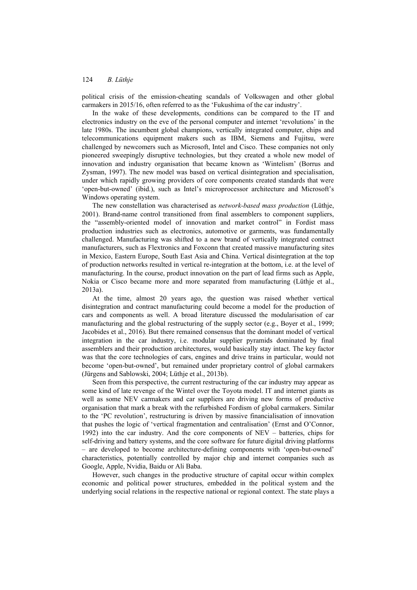political crisis of the emission-cheating scandals of Volkswagen and other global carmakers in 2015/16, often referred to as the 'Fukushima of the car industry'.

In the wake of these developments, conditions can be compared to the IT and electronics industry on the eve of the personal computer and internet 'revolutions' in the late 1980s. The incumbent global champions, vertically integrated computer, chips and telecommunications equipment makers such as IBM, Siemens and Fujitsu, were challenged by newcomers such as Microsoft, Intel and Cisco. These companies not only pioneered sweepingly disruptive technologies, but they created a whole new model of innovation and industry organisation that became known as 'Wintelism' (Borrus and Zysman, 1997). The new model was based on vertical disintegration and specialisation, under which rapidly growing providers of core components created standards that were 'open-but-owned' (ibid.), such as Intel's microprocessor architecture and Microsoft's Windows operating system.

The new constellation was characterised as *network-based mass production* (Lüthje, 2001). Brand-name control transitioned from final assemblers to component suppliers, the "assembly-oriented model of innovation and market control" in Fordist mass production industries such as electronics, automotive or garments, was fundamentally challenged. Manufacturing was shifted to a new brand of vertically integrated contract manufacturers, such as Flextronics and Foxconn that created massive manufacturing sites in Mexico, Eastern Europe, South East Asia and China. Vertical disintegration at the top of production networks resulted in vertical re-integration at the bottom, i.e. at the level of manufacturing. In the course, product innovation on the part of lead firms such as Apple, Nokia or Cisco became more and more separated from manufacturing (Lüthje et al., 2013a).

At the time, almost 20 years ago, the question was raised whether vertical disintegration and contract manufacturing could become a model for the production of cars and components as well. A broad literature discussed the modularisation of car manufacturing and the global restructuring of the supply sector (e.g., Boyer et al., 1999; Jacobides et al., 2016). But there remained consensus that the dominant model of vertical integration in the car industry, i.e. modular supplier pyramids dominated by final assemblers and their production architectures, would basically stay intact. The key factor was that the core technologies of cars, engines and drive trains in particular, would not become 'open-but-owned', but remained under proprietary control of global carmakers (Jürgens and Sablowski, 2004; Lüthje et al., 2013b).

Seen from this perspective, the current restructuring of the car industry may appear as some kind of late revenge of the Wintel over the Toyota model. IT and internet giants as well as some NEV carmakers and car suppliers are driving new forms of productive organisation that mark a break with the refurbished Fordism of global carmakers. Similar to the 'PC revolution', restructuring is driven by massive financialisation of innovation that pushes the logic of 'vertical fragmentation and centralisation' (Ernst and O'Connor, 1992) into the car industry. And the core components of NEV – batteries, chips for self-driving and battery systems, and the core software for future digital driving platforms – are developed to become architecture-defining components with 'open-but-owned' characteristics, potentially controlled by major chip and internet companies such as Google, Apple, Nvidia, Baidu or Ali Baba.

However, such changes in the productive structure of capital occur within complex economic and political power structures, embedded in the political system and the underlying social relations in the respective national or regional context. The state plays a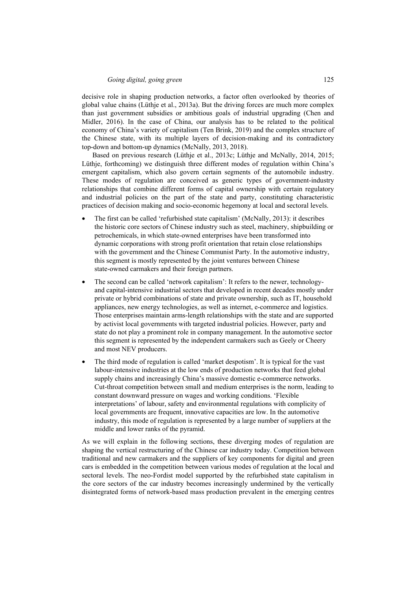decisive role in shaping production networks, a factor often overlooked by theories of global value chains (Lüthje et al., 2013a). But the driving forces are much more complex than just government subsidies or ambitious goals of industrial upgrading (Chen and Midler, 2016). In the case of China, our analysis has to be related to the political economy of China's variety of capitalism (Ten Brink, 2019) and the complex structure of the Chinese state, with its multiple layers of decision-making and its contradictory top-down and bottom-up dynamics (McNally, 2013, 2018).

Based on previous research (Lüthje et al., 2013c; Lüthje and McNally, 2014, 2015; Lüthje, forthcoming) we distinguish three different modes of regulation within China's emergent capitalism, which also govern certain segments of the automobile industry. These modes of regulation are conceived as generic types of government-industry relationships that combine different forms of capital ownership with certain regulatory and industrial policies on the part of the state and party, constituting characteristic practices of decision making and socio-economic hegemony at local and sectoral levels.

- The first can be called 'refurbished state capitalism' (McNally, 2013): it describes the historic core sectors of Chinese industry such as steel, machinery, shipbuilding or petrochemicals, in which state-owned enterprises have been transformed into dynamic corporations with strong profit orientation that retain close relationships with the government and the Chinese Communist Party. In the automotive industry, this segment is mostly represented by the joint ventures between Chinese state-owned carmakers and their foreign partners.
- The second can be called 'network capitalism': It refers to the newer, technologyand capital-intensive industrial sectors that developed in recent decades mostly under private or hybrid combinations of state and private ownership, such as IT, household appliances, new energy technologies, as well as internet, e-commerce and logistics. Those enterprises maintain arms-length relationships with the state and are supported by activist local governments with targeted industrial policies. However, party and state do not play a prominent role in company management. In the automotive sector this segment is represented by the independent carmakers such as Geely or Cheery and most NEV producers.
- The third mode of regulation is called 'market despotism'. It is typical for the vast labour-intensive industries at the low ends of production networks that feed global supply chains and increasingly China's massive domestic e-commerce networks. Cut-throat competition between small and medium enterprises is the norm, leading to constant downward pressure on wages and working conditions. 'Flexible interpretations' of labour, safety and environmental regulations with complicity of local governments are frequent, innovative capacities are low. In the automotive industry, this mode of regulation is represented by a large number of suppliers at the middle and lower ranks of the pyramid.

As we will explain in the following sections, these diverging modes of regulation are shaping the vertical restructuring of the Chinese car industry today. Competition between traditional and new carmakers and the suppliers of key components for digital and green cars is embedded in the competition between various modes of regulation at the local and sectoral levels. The neo-Fordist model supported by the refurbished state capitalism in the core sectors of the car industry becomes increasingly undermined by the vertically disintegrated forms of network-based mass production prevalent in the emerging centres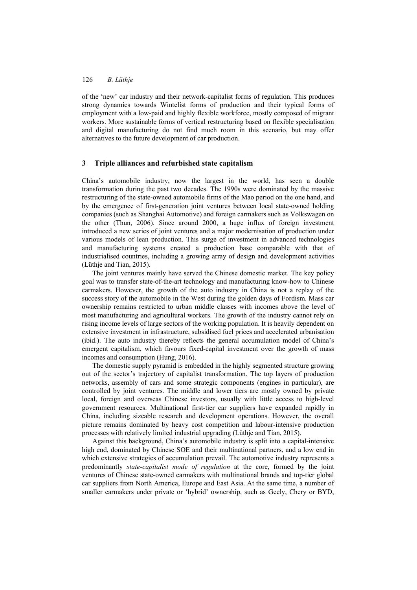of the 'new' car industry and their network-capitalist forms of regulation. This produces strong dynamics towards Wintelist forms of production and their typical forms of employment with a low-paid and highly flexible workforce, mostly composed of migrant workers. More sustainable forms of vertical restructuring based on flexible specialisation and digital manufacturing do not find much room in this scenario, but may offer alternatives to the future development of car production.

## **3 Triple alliances and refurbished state capitalism**

China's automobile industry, now the largest in the world, has seen a double transformation during the past two decades. The 1990s were dominated by the massive restructuring of the state-owned automobile firms of the Mao period on the one hand, and by the emergence of first-generation joint ventures between local state-owned holding companies (such as Shanghai Automotive) and foreign carmakers such as Volkswagen on the other (Thun, 2006). Since around 2000, a huge influx of foreign investment introduced a new series of joint ventures and a major modernisation of production under various models of lean production. This surge of investment in advanced technologies and manufacturing systems created a production base comparable with that of industrialised countries, including a growing array of design and development activities (Lüthje and Tian, 2015).

The joint ventures mainly have served the Chinese domestic market. The key policy goal was to transfer state-of-the-art technology and manufacturing know-how to Chinese carmakers. However, the growth of the auto industry in China is not a replay of the success story of the automobile in the West during the golden days of Fordism. Mass car ownership remains restricted to urban middle classes with incomes above the level of most manufacturing and agricultural workers. The growth of the industry cannot rely on rising income levels of large sectors of the working population. It is heavily dependent on extensive investment in infrastructure, subsidised fuel prices and accelerated urbanisation (ibid.). The auto industry thereby reflects the general accumulation model of China's emergent capitalism, which favours fixed-capital investment over the growth of mass incomes and consumption (Hung, 2016).

The domestic supply pyramid is embedded in the highly segmented structure growing out of the sector's trajectory of capitalist transformation. The top layers of production networks, assembly of cars and some strategic components (engines in particular), are controlled by joint ventures. The middle and lower tiers are mostly owned by private local, foreign and overseas Chinese investors, usually with little access to high-level government resources. Multinational first-tier car suppliers have expanded rapidly in China, including sizeable research and development operations. However, the overall picture remains dominated by heavy cost competition and labour-intensive production processes with relatively limited industrial upgrading (Lüthje and Tian, 2015).

Against this background, China's automobile industry is split into a capital-intensive high end, dominated by Chinese SOE and their multinational partners, and a low end in which extensive strategies of accumulation prevail. The automotive industry represents a predominantly *state-capitalist mode of regulation* at the core, formed by the joint ventures of Chinese state-owned carmakers with multinational brands and top-tier global car suppliers from North America, Europe and East Asia. At the same time, a number of smaller carmakers under private or 'hybrid' ownership, such as Geely, Chery or BYD,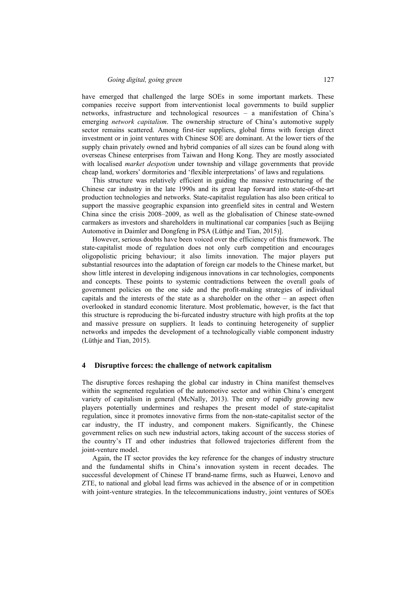have emerged that challenged the large SOEs in some important markets. These companies receive support from interventionist local governments to build supplier networks, infrastructure and technological resources – a manifestation of China's emerging *network capitalism*. The ownership structure of China's automotive supply sector remains scattered. Among first-tier suppliers, global firms with foreign direct investment or in joint ventures with Chinese SOE are dominant. At the lower tiers of the supply chain privately owned and hybrid companies of all sizes can be found along with overseas Chinese enterprises from Taiwan and Hong Kong. They are mostly associated with localised *market despotism* under township and village governments that provide cheap land, workers' dormitories and 'flexible interpretations' of laws and regulations*.*

This structure was relatively efficient in guiding the massive restructuring of the Chinese car industry in the late 1990s and its great leap forward into state-of-the-art production technologies and networks. State-capitalist regulation has also been critical to support the massive geographic expansion into greenfield sites in central and Western China since the crisis 2008–2009, as well as the globalisation of Chinese state-owned carmakers as investors and shareholders in multinational car companies [such as Beijing Automotive in Daimler and Dongfeng in PSA (Lüthje and Tian, 2015)].

However, serious doubts have been voiced over the efficiency of this framework. The state-capitalist mode of regulation does not only curb competition and encourages oligopolistic pricing behaviour; it also limits innovation. The major players put substantial resources into the adaptation of foreign car models to the Chinese market, but show little interest in developing indigenous innovations in car technologies, components and concepts. These points to systemic contradictions between the overall goals of government policies on the one side and the profit-making strategies of individual capitals and the interests of the state as a shareholder on the other – an aspect often overlooked in standard economic literature. Most problematic, however, is the fact that this structure is reproducing the bi-furcated industry structure with high profits at the top and massive pressure on suppliers. It leads to continuing heterogeneity of supplier networks and impedes the development of a technologically viable component industry (Lüthje and Tian, 2015).

#### **4 Disruptive forces: the challenge of network capitalism**

The disruptive forces reshaping the global car industry in China manifest themselves within the segmented regulation of the automotive sector and within China's emergent variety of capitalism in general (McNally, 2013). The entry of rapidly growing new players potentially undermines and reshapes the present model of state-capitalist regulation, since it promotes innovative firms from the non-state-capitalist sector of the car industry, the IT industry, and component makers. Significantly, the Chinese government relies on such new industrial actors, taking account of the success stories of the country's IT and other industries that followed trajectories different from the joint-venture model.

Again, the IT sector provides the key reference for the changes of industry structure and the fundamental shifts in China's innovation system in recent decades. The successful development of Chinese IT brand-name firms, such as Huawei, Lenovo and ZTE, to national and global lead firms was achieved in the absence of or in competition with joint-venture strategies. In the telecommunications industry, joint ventures of SOEs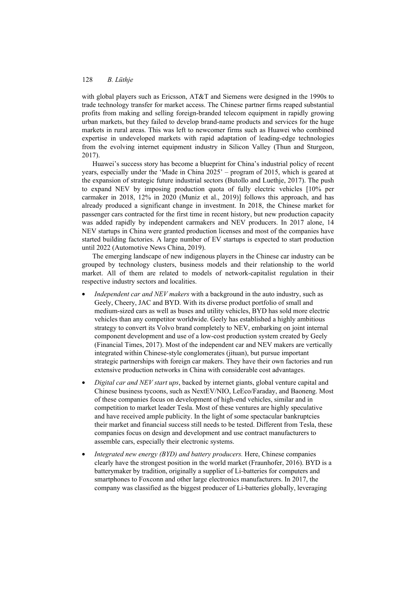with global players such as Ericsson, AT&T and Siemens were designed in the 1990s to trade technology transfer for market access. The Chinese partner firms reaped substantial profits from making and selling foreign-branded telecom equipment in rapidly growing urban markets, but they failed to develop brand-name products and services for the huge markets in rural areas. This was left to newcomer firms such as Huawei who combined expertise in undeveloped markets with rapid adaptation of leading-edge technologies from the evolving internet equipment industry in Silicon Valley (Thun and Sturgeon, 2017).

Huawei's success story has become a blueprint for China's industrial policy of recent years, especially under the 'Made in China 2025' – program of 2015, which is geared at the expansion of strategic future industrial sectors (Butollo and Luethje, 2017). The push to expand NEV by imposing production quota of fully electric vehicles [10% per carmaker in 2018, 12% in 2020 (Muniz et al., 2019)] follows this approach, and has already produced a significant change in investment. In 2018, the Chinese market for passenger cars contracted for the first time in recent history, but new production capacity was added rapidly by independent carmakers and NEV producers. In 2017 alone, 14 NEV startups in China were granted production licenses and most of the companies have started building factories. A large number of EV startups is expected to start production until 2022 (Automotive News China, 2019).

The emerging landscape of new indigenous players in the Chinese car industry can be grouped by technology clusters, business models and their relationship to the world market. All of them are related to models of network-capitalist regulation in their respective industry sectors and localities.

- *Independent car and NEV makers* with a background in the auto industry, such as Geely, Cheery, JAC and BYD. With its diverse product portfolio of small and medium-sized cars as well as buses and utility vehicles, BYD has sold more electric vehicles than any competitor worldwide. Geely has established a highly ambitious strategy to convert its Volvo brand completely to NEV, embarking on joint internal component development and use of a low-cost production system created by Geely (Financial Times, 2017). Most of the independent car and NEV makers are vertically integrated within Chinese-style conglomerates (jituan), but pursue important strategic partnerships with foreign car makers. They have their own factories and run extensive production networks in China with considerable cost advantages.
- *Digital car and NEV start ups*, backed by internet giants, global venture capital and Chinese business tycoons, such as NextEV/NIO, LeEco/Faraday, and Baoneng. Most of these companies focus on development of high-end vehicles, similar and in competition to market leader Tesla. Most of these ventures are highly speculative and have received ample publicity. In the light of some spectacular bankruptcies their market and financial success still needs to be tested. Different from Tesla, these companies focus on design and development and use contract manufacturers to assemble cars, especially their electronic systems.
- *Integrated new energy (BYD) and battery producers.* Here, Chinese companies clearly have the strongest position in the world market (Fraunhofer, 2016). BYD is a batterymaker by tradition, originally a supplier of Li-batteries for computers and smartphones to Foxconn and other large electronics manufacturers. In 2017, the company was classified as the biggest producer of Li-batteries globally, leveraging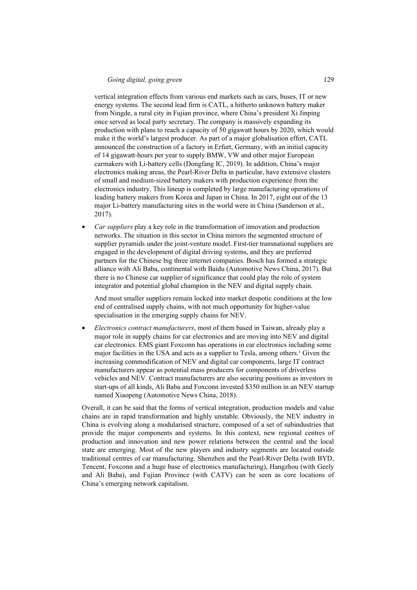vertical integration effects from various end markets such as cars, buses, IT or new energy systems. The second lead firm is CATL, a hitherto unknown battery maker from Ningde, a rural city in Fujian province, where China's president Xi Jinping once served as local party secretary. The company is massively expanding its production with plans to reach a capacity of 50 gigawatt hours by 2020, which would make it the world's largest producer. As part of a major globalisation effort, CATL announced the construction of a factory in Erfurt, Germany, with an initial capacity of 14 gigawatt-hours per year to supply BMW, VW and other major European carmakers with Li-battery cells (Dongfang IC, 2019). In addition, China's major electronics making areas, the Pearl-River Delta in particular, have extensive clusters of small and medium-sized battery makers with production experience from the electronics industry. This lineup is completed by large manufacturing operations of leading battery makers from Korea and Japan in China. In 2017, eight out of the 13 major Li-battery manufacturing sites in the world were in China (Sanderson et al., 2017).

• *Car suppliers* play a key role in the transformation of innovation and production networks. The situation in this sector in China mirrors the segmented structure of supplier pyramids under the joint-venture model. First-tier transnational suppliers are engaged in the development of digital driving systems, and they are preferred partners for the Chinese big three internet companies. Bosch has formed a strategic alliance with Ali Baba, continental with Baidu (Automotive News China, 2017). But there is no Chinese car supplier of significance that could play the role of system integrator and potential global champion in the NEV and digital supply chain.

And most smaller suppliers remain locked into market despotic conditions at the low end of centralised supply chains, with not much opportunity for higher-value specialisation in the emerging supply chains for NEV.

• *Electronics contract manufacturers*, most of them based in Taiwan, already play a major role in supply chains for car electronics and are moving into NEV and digital car electronics. EMS giant Foxconn has operations in car electronics including some major facilities in the USA and acts as a supplier to Tesla, among others.<sup>1</sup> Given the increasing commodification of NEV and digital car components, large IT contract manufacturers appear as potential mass producers for components of driverless vehicles and NEV. Contract manufacturers are also securing positions as investors in start-ups of all kinds, Ali Baba and Foxconn invested \$350 million in an NEV startup named Xiaopeng (Automotive News China, 2018).

Overall, it can be said that the forms of vertical integration, production models and value chains are in rapid transformation and highly unstable. Obviously, the NEV industry in China is evolving along a modularised structure, composed of a set of subindustries that provide the major components and systems. In this context, new regional centres of production and innovation and new power relations between the central and the local state are emerging. Most of the new players and industry segments are located outside traditional centres of car manufacturing. Shenzhen and the Pearl-River Delta (with BYD, Tencent, Foxconn and a huge base of electronics manufacturing), Hangzhou (with Geely and Ali Baba), and Fujian Province (with CATV) can be seen as core locations of China's emerging network capitalism.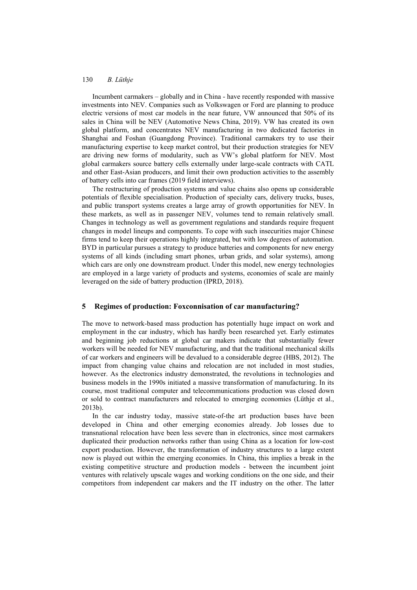Incumbent carmakers – globally and in China - have recently responded with massive investments into NEV. Companies such as Volkswagen or Ford are planning to produce electric versions of most car models in the near future, VW announced that 50% of its sales in China will be NEV (Automotive News China, 2019). VW has created its own global platform, and concentrates NEV manufacturing in two dedicated factories in Shanghai and Foshan (Guangdong Province). Traditional carmakers try to use their manufacturing expertise to keep market control, but their production strategies for NEV are driving new forms of modularity, such as VW's global platform for NEV. Most global carmakers source battery cells externally under large-scale contracts with CATL and other East-Asian producers, and limit their own production activities to the assembly of battery cells into car frames (2019 field interviews).

The restructuring of production systems and value chains also opens up considerable potentials of flexible specialisation. Production of specialty cars, delivery trucks, buses, and public transport systems creates a large array of growth opportunities for NEV. In these markets, as well as in passenger NEV, volumes tend to remain relatively small. Changes in technology as well as government regulations and standards require frequent changes in model lineups and components. To cope with such insecurities major Chinese firms tend to keep their operations highly integrated, but with low degrees of automation. BYD in particular pursues a strategy to produce batteries and components for new energy systems of all kinds (including smart phones, urban grids, and solar systems), among which cars are only one downstream product. Under this model, new energy technologies are employed in a large variety of products and systems, economies of scale are mainly leveraged on the side of battery production (IPRD, 2018).

### **5 Regimes of production: Foxconnisation of car manufacturing?**

The move to network-based mass production has potentially huge impact on work and employment in the car industry, which has hardly been researched yet. Early estimates and beginning job reductions at global car makers indicate that substantially fewer workers will be needed for NEV manufacturing, and that the traditional mechanical skills of car workers and engineers will be devalued to a considerable degree (HBS, 2012). The impact from changing value chains and relocation are not included in most studies, however. As the electronics industry demonstrated, the revolutions in technologies and business models in the 1990s initiated a massive transformation of manufacturing. In its course, most traditional computer and telecommunications production was closed down or sold to contract manufacturers and relocated to emerging economies (Lüthje et al., 2013b).

In the car industry today, massive state-of-the art production bases have been developed in China and other emerging economies already. Job losses due to transnational relocation have been less severe than in electronics, since most carmakers duplicated their production networks rather than using China as a location for low-cost export production. However, the transformation of industry structures to a large extent now is played out within the emerging economies. In China, this implies a break in the existing competitive structure and production models - between the incumbent joint ventures with relatively upscale wages and working conditions on the one side, and their competitors from independent car makers and the IT industry on the other. The latter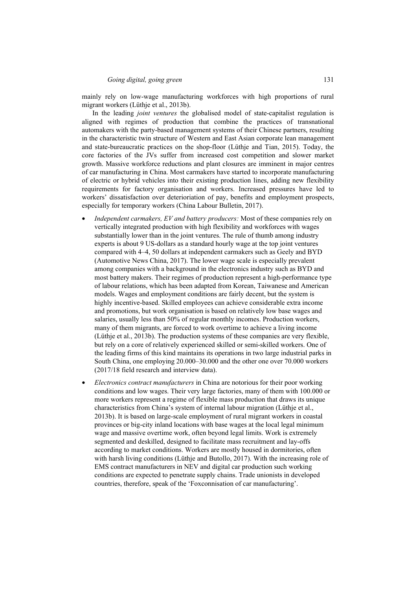mainly rely on low-wage manufacturing workforces with high proportions of rural migrant workers (Lüthje et al., 2013b).

In the leading *joint ventures* the globalised model of state-capitalist regulation is aligned with regimes of production that combine the practices of transnational automakers with the party-based management systems of their Chinese partners, resulting in the characteristic twin structure of Western and East Asian corporate lean management and state-bureaucratic practices on the shop-floor (Lüthje and Tian, 2015). Today, the core factories of the JVs suffer from increased cost competition and slower market growth. Massive workforce reductions and plant closures are imminent in major centres of car manufacturing in China. Most carmakers have started to incorporate manufacturing of electric or hybrid vehicles into their existing production lines, adding new flexibility requirements for factory organisation and workers. Increased pressures have led to workers' dissatisfaction over deterioriation of pay, benefits and employment prospects, especially for temporary workers (China Labour Bulletin, 2017).

- *Independent carmakers, EV and battery producers:* Most of these companies rely on vertically integrated production with high flexibility and workforces with wages substantially lower than in the joint ventures. The rule of thumb among industry experts is about 9 US-dollars as a standard hourly wage at the top joint ventures compared with 4–4, 50 dollars at independent carmakers such as Geely and BYD (Automotive News China, 2017). The lower wage scale is especially prevalent among companies with a background in the electronics industry such as BYD and most battery makers. Their regimes of production represent a high-performance type of labour relations, which has been adapted from Korean, Taiwanese and American models. Wages and employment conditions are fairly decent, but the system is highly incentive-based. Skilled employees can achieve considerable extra income and promotions, but work organisation is based on relatively low base wages and salaries, usually less than 50% of regular monthly incomes. Production workers, many of them migrants, are forced to work overtime to achieve a living income (Lüthje et al., 2013b). The production systems of these companies are very flexible, but rely on a core of relatively experienced skilled or semi-skilled workers. One of the leading firms of this kind maintains its operations in two large industrial parks in South China, one employing 20.000–30.000 and the other one over 70.000 workers (2017/18 field research and interview data).
- *Electronics contract manufacturers* in China are notorious for their poor working conditions and low wages. Their very large factories, many of them with 100.000 or more workers represent a regime of flexible mass production that draws its unique characteristics from China's system of internal labour migration (Lüthje et al., 2013b). It is based on large-scale employment of rural migrant workers in coastal provinces or big-city inland locations with base wages at the local legal minimum wage and massive overtime work, often beyond legal limits. Work is extremely segmented and deskilled, designed to facilitate mass recruitment and lay-offs according to market conditions. Workers are mostly housed in dormitories, often with harsh living conditions (Lüthje and Butollo, 2017). With the increasing role of EMS contract manufacturers in NEV and digital car production such working conditions are expected to penetrate supply chains. Trade unionists in developed countries, therefore, speak of the 'Foxconnisation of car manufacturing'.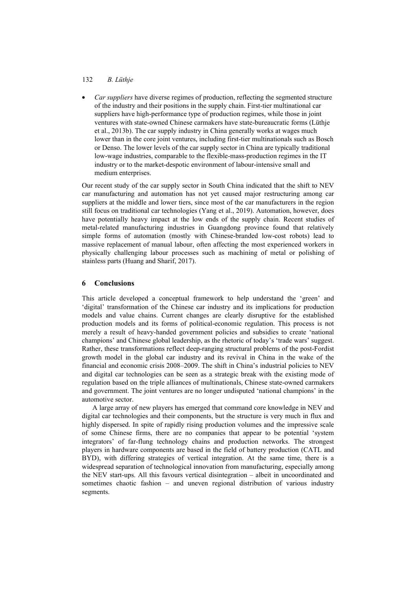### 132 *B. Lüthje*

• *Car suppliers* have diverse regimes of production, reflecting the segmented structure of the industry and their positions in the supply chain. First-tier multinational car suppliers have high-performance type of production regimes, while those in joint ventures with state-owned Chinese carmakers have state-bureaucratic forms (Lüthje et al., 2013b). The car supply industry in China generally works at wages much lower than in the core joint ventures, including first-tier multinationals such as Bosch or Denso. The lower levels of the car supply sector in China are typically traditional low-wage industries, comparable to the flexible-mass-production regimes in the IT industry or to the market-despotic environment of labour-intensive small and medium enterprises.

Our recent study of the car supply sector in South China indicated that the shift to NEV car manufacturing and automation has not yet caused major restructuring among car suppliers at the middle and lower tiers, since most of the car manufacturers in the region still focus on traditional car technologies (Yang et al., 2019). Automation, however, does have potentially heavy impact at the low ends of the supply chain. Recent studies of metal-related manufacturing industries in Guangdong province found that relatively simple forms of automation (mostly with Chinese-branded low-cost robots) lead to massive replacement of manual labour, often affecting the most experienced workers in physically challenging labour processes such as machining of metal or polishing of stainless parts (Huang and Sharif, 2017).

### **6 Conclusions**

This article developed a conceptual framework to help understand the 'green' and 'digital' transformation of the Chinese car industry and its implications for production models and value chains. Current changes are clearly disruptive for the established production models and its forms of political-economic regulation. This process is not merely a result of heavy-handed government policies and subsidies to create 'national champions' and Chinese global leadership, as the rhetoric of today's 'trade wars' suggest. Rather, these transformations reflect deep-ranging structural problems of the post-Fordist growth model in the global car industry and its revival in China in the wake of the financial and economic crisis 2008–2009. The shift in China's industrial policies to NEV and digital car technologies can be seen as a strategic break with the existing mode of regulation based on the triple alliances of multinationals, Chinese state-owned carmakers and government. The joint ventures are no longer undisputed 'national champions' in the automotive sector.

A large array of new players has emerged that command core knowledge in NEV and digital car technologies and their components, but the structure is very much in flux and highly dispersed. In spite of rapidly rising production volumes and the impressive scale of some Chinese firms, there are no companies that appear to be potential 'system integrators' of far-flung technology chains and production networks. The strongest players in hardware components are based in the field of battery production (CATL and BYD), with differing strategies of vertical integration. At the same time, there is a widespread separation of technological innovation from manufacturing, especially among the NEV start-ups. All this favours vertical disintegration – albeit in uncoordinated and sometimes chaotic fashion – and uneven regional distribution of various industry segments.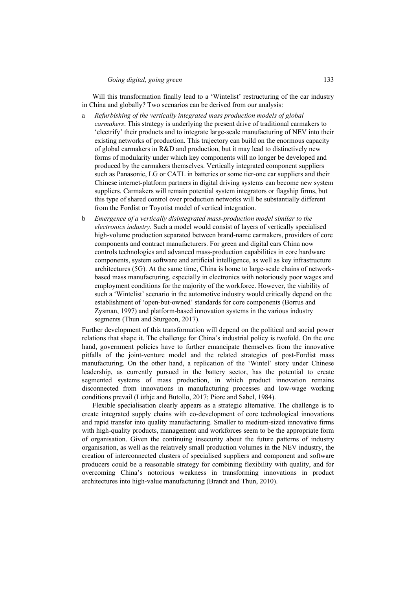Will this transformation finally lead to a 'Wintelist' restructuring of the car industry in China and globally? Two scenarios can be derived from our analysis:

- a *Refurbishing of the vertically integrated mass production models of global carmakers*. This strategy is underlying the present drive of traditional carmakers to 'electrify' their products and to integrate large-scale manufacturing of NEV into their existing networks of production. This trajectory can build on the enormous capacity of global carmakers in R&D and production, but it may lead to distinctively new forms of modularity under which key components will no longer be developed and produced by the carmakers themselves. Vertically integrated component suppliers such as Panasonic, LG or CATL in batteries or some tier-one car suppliers and their Chinese internet-platform partners in digital driving systems can become new system suppliers. Carmakers will remain potential system integrators or flagship firms, but this type of shared control over production networks will be substantially different from the Fordist or Toyotist model of vertical integration.
- b *Emergence of a vertically disintegrated mass-production model similar to the electronics industry.* Such a model would consist of layers of vertically specialised high-volume production separated between brand-name carmakers, providers of core components and contract manufacturers. For green and digital cars China now controls technologies and advanced mass-production capabilities in core hardware components, system software and artificial intelligence, as well as key infrastructure architectures (5G). At the same time, China is home to large-scale chains of networkbased mass manufacturing, especially in electronics with notoriously poor wages and employment conditions for the majority of the workforce. However, the viability of such a 'Wintelist' scenario in the automotive industry would critically depend on the establishment of 'open-but-owned' standards for core components (Borrus and Zysman, 1997) and platform-based innovation systems in the various industry segments (Thun and Sturgeon, 2017).

Further development of this transformation will depend on the political and social power relations that shape it. The challenge for China's industrial policy is twofold. On the one hand, government policies have to further emancipate themselves from the innovative pitfalls of the joint-venture model and the related strategies of post-Fordist mass manufacturing. On the other hand, a replication of the 'Wintel' story under Chinese leadership, as currently pursued in the battery sector, has the potential to create segmented systems of mass production, in which product innovation remains disconnected from innovations in manufacturing processes and low-wage working conditions prevail (Lüthje and Butollo, 2017; Piore and Sabel, 1984).

Flexible specialisation clearly appears as a strategic alternative. The challenge is to create integrated supply chains with co-development of core technological innovations and rapid transfer into quality manufacturing. Smaller to medium-sized innovative firms with high-quality products, management and workforces seem to be the appropriate form of organisation. Given the continuing insecurity about the future patterns of industry organisation, as well as the relatively small production volumes in the NEV industry, the creation of interconnected clusters of specialised suppliers and component and software producers could be a reasonable strategy for combining flexibility with quality, and for overcoming China's notorious weakness in transforming innovations in product architectures into high-value manufacturing (Brandt and Thun, 2010).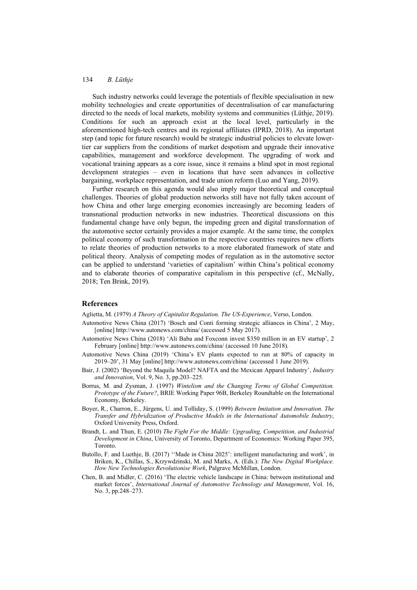Such industry networks could leverage the potentials of flexible specialisation in new mobility technologies and create opportunities of decentralisation of car manufacturing directed to the needs of local markets, mobility systems and communities (Lüthje, 2019). Conditions for such an approach exist at the local level, particularly in the aforementioned high-tech centres and its regional affiliates (IPRD, 2018). An important step (and topic for future research) would be strategic industrial policies to elevate lowertier car suppliers from the conditions of market despotism and upgrade their innovative capabilities, management and workforce development. The upgrading of work and vocational training appears as a core issue, since it remains a blind spot in most regional development strategies – even in locations that have seen advances in collective bargaining, workplace representation, and trade union reform (Luo and Yang, 2019).

Further research on this agenda would also imply major theoretical and conceptual challenges. Theories of global production networks still have not fully taken account of how China and other large emerging economies increasingly are becoming leaders of transnational production networks in new industries. Theoretical discussions on this fundamental change have only begun, the impeding green and digital transformation of the automotive sector certainly provides a major example. At the same time, the complex political economy of such transformation in the respective countries requires new efforts to relate theories of production networks to a more elaborated framework of state and political theory. Analysis of competing modes of regulation as in the automotive sector can be applied to understand 'varieties of capitalism' within China's political economy and to elaborate theories of comparative capitalism in this perspective (cf., McNally, 2018; Ten Brink, 2019).

#### **References**

Aglietta, M. (1979) *A Theory of Capitalist Regulation. The US-Experience*, Verso, London.

- Automotive News China (2017) 'Bosch and Conti forming strategic alliances in China', 2 May, [online] http://www.autonews.com/china/ (accessed 5 May 2017).
- Automotive News China (2018) 'Ali Baba and Foxconn invest \$350 million in an EV startup', 2 February [online] http://www.autonews.com/china/ (accessed 10 June 2018).
- Automotive News China (2019) 'China's EV plants expected to run at 80% of capacity in 2019–20', 31 May [online] http://www.autonews.com/china/ (accessed 1 June 2019).
- Bair, J. (2002) 'Beyond the Maquila Model? NAFTA and the Mexican Apparel Industry', *Industry and Innovation*, Vol. 9, No. 3, pp.203–225.
- Borrus, M. and Zysman, J. (1997) *Wintelism and the Changing Terms of Global Competition. Prototype of the Future?*, BRIE Working Paper 96B, Berkeley Roundtable on the International Economy, Berkeley.
- Boyer, R., Charron, E., Jürgens, U. and Tolliday, S. (1999) *Between Imitation and Innovation. The Transfer and Hybridization of Productive Models in the International Automobile Industry*, Oxford University Press, Oxford.
- Brandt, L. and Thun, E. (2010) *The Fight For the Middle: Upgrading, Competition, and Industrial Development in China*, University of Toronto, Department of Economics: Working Paper 395, Toronto.
- Butollo, F. and Luethje, B. (2017) ''Made in China 2025': intelligent manufacturing and work', in Briken, K., Chillas, S., Krzywdzinski, M. and Marks, A. (Eds.): *The New Digital Workplace. How New Technologies Revolutionise Work*, Palgrave McMillan, London.
- Chen, B. and Midler, C. (2016) 'The electric vehicle landscape in China: between institutional and market forces', *International Journal of Automotive Technology and Management*, Vol. 16, No. 3, pp.248–273.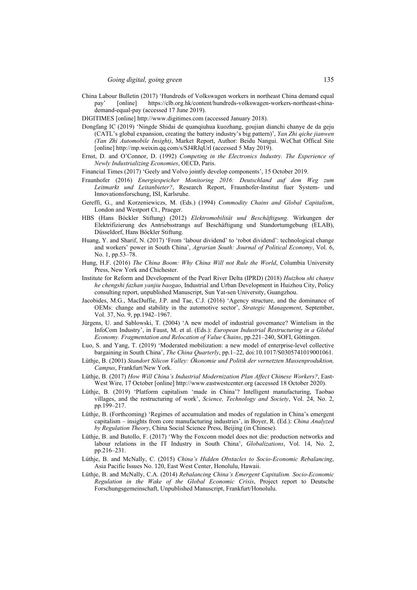- China Labour Bulletin (2017) 'Hundreds of Volkswagen workers in northeast China demand equal pay' [online] https://clb.org.hk/content/hundreds-volkswagen-workers-northeast-chinademand-equal-pay (accessed 17 June 2019).
- DIGITIMES [online] http://www.digitimes.com (accessed January 2018).
- Dongfang IC (2019) 'Ningde Shidai de quanqiuhua kuozhang, goujian dianchi chanye de da geju (CATL's global expansion, creating the battery industry's big pattern)', *Yan Zhi qiche jianwen (Yan Zhi Automobile Insight)*, Market Report, Author: Beidu Nangui. WeChat Offical Site [online] http://mp.weixin.qq.com/s/SJ4RJqUrl (accessed 5 May 2019).
- Ernst, D. and O'Connor, D. (1992) *Competing in the Electronics Industry. The Experience of Newly Industrializing Economies*, OECD, Paris.
- Financial Times (2017) 'Geely and Volvo jointly develop components', 15 October 2019.
- Fraunhofer (2016) *Energiespeicher Monitoring 2016: Deutschland auf dem Weg zum Leitmarkt und Leitanbieter?*, Research Report, Fraunhofer-Institut fuer System- und Innovationsforschung, ISI, Karlsruhe.
- Gereffi, G., and Korzeniewiczs, M. (Eds.) (1994) *Commodity Chains and Global Capitalism*, London and Westport Ct., Praeger.
- HBS (Hans Böckler Stiftung) (2012) *Elektromobilität und Beschäftigung*. Wirkungen der Elektrifizierung des Antriebsstrangs auf Beschäftigung und Standortumgebung (ELAB), Düsseldorf, Hans Böckler Stiftung.
- Huang, Y. and Sharif, N. (2017) 'From 'labour dividend' to 'robot dividend': technological change and workers' power in South China', *Agrarian South: Journal of Political Economy*, Vol. 6, No. 1, pp.53–78.
- Hung, H.F. (2016) *The China Boom: Why China Will not Rule the World*, Columbia University Press, New York and Chichester.
- Institute for Reform and Development of the Pearl River Delta (IPRD) (2018) *Huizhou shi chanye he chengshi fazhan yanjiu baogao*, Industrial and Urban Development in Huizhou City, Policy consulting report, unpublished Manuscript, Sun Yat-sen University, Guangzhou.
- Jacobides, M.G., MacDuffie, J.P. and Tae, C.J. (2016) 'Agency structure, and the dominance of OEMs: change and stability in the automotive sector', *Strategic Management*, September, Vol. 37, No. 9, pp.1942–1967.
- Jürgens, U. and Sablowski, T. (2004) 'A new model of industrial governance? Wintelism in the InfoCom Industry', in Faust, M. et al. (Eds.): *European Industrial Restructuring in a Global Economy. Fragmentation and Relocation of Value Chains*, pp.221–240, SOFI, Göttingen.
- Luo, S. and Yang, T. (2019) 'Moderated mobilization: a new model of enterprise-level collective bargaining in South China', *The China Quarterly*, pp.1–22, doi:10.1017/S0305741019001061.
- Lüthje, B. (2001) *Standort Silicon Valley: Ökonomie und Politik der vernetzten Massenproduktion, Campus*, Frankfurt/New York.
- Lüthje, B. (2017) *How Will China's Industrial Modernization Plan Affect Chinese Workers?*, East-West Wire, 17 October [online] http://www.eastwestcenter.org (accessed 18 October 2020).
- Lüthje, B. (2019) 'Platform capitalism 'made in China'? Intelligent manufacturing, Taobao villages, and the restructuring of work', *Science, Technology and Society*, Vol. 24, No. 2, pp.199–217.
- Lüthje, B. (Forthcoming) 'Regimes of accumulation and modes of regulation in China's emergent capitalism – insights from core manufacturing industries', in Boyer, R. (Ed.): *China Analyzed by Regulation Theory*, China Social Science Press, Beijing (in Chinese).
- Lüthje, B. and Butollo, F. (2017) 'Why the Foxconn model does not die: production networks and labour relations in the IT Industry in South China', *Globalizations*, Vol. 14, No. 2, pp.216–231.
- Lüthje, B. and McNally, C. (2015) *China's Hidden Obstacles to Socio-Economic Rebalancing*, Asia Pacific Issues No. 120, East West Center, Honolulu, Hawaii.
- Lüthje, B. and McNally, C.A. (2014) *Rebalancing China's Emergent Capitalism. Socio-Economic Regulation in the Wake of the Global Economic Crisis*, Project report to Deutsche Forschungsgemeinschaft, Unpublished Manuscript, Frankfurt/Honolulu.